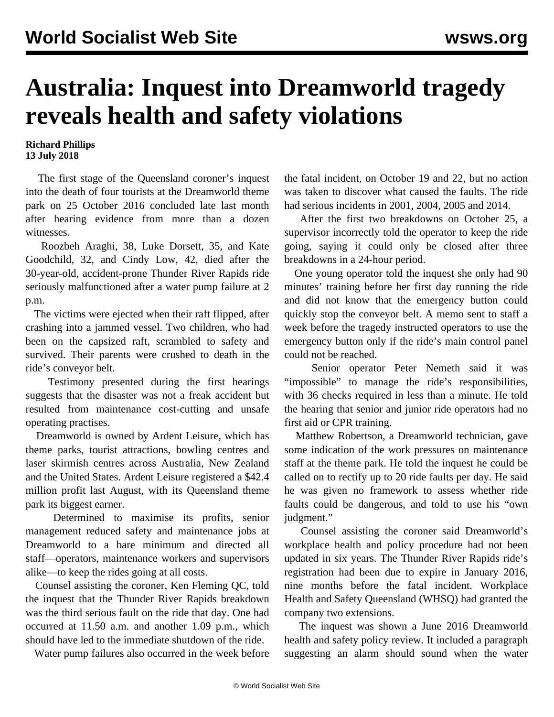## **Australia: Inquest into Dreamworld tragedy reveals health and safety violations**

## **Richard Phillips 13 July 2018**

 The first stage of the Queensland coroner's inquest into the death of four tourists at the Dreamworld theme park on 25 October 2016 concluded late last month after hearing evidence from more than a dozen witnesses.

 Roozbeh Araghi, 38, Luke Dorsett, 35, and Kate Goodchild, 32, and Cindy Low, 42, died after the 30-year-old, accident-prone Thunder River Rapids ride seriously malfunctioned after a water pump failure at 2 p.m.

 The victims were ejected when their raft flipped, after crashing into a jammed vessel. Two children, who had been on the capsized raft, scrambled to safety and survived. Their parents were crushed to death in the ride's conveyor belt.

 Testimony presented during the first hearings suggests that the disaster was not a freak accident but resulted from maintenance cost-cutting and unsafe operating practises.

 Dreamworld is owned by Ardent Leisure, which has theme parks, tourist attractions, bowling centres and laser skirmish centres across Australia, New Zealand and the United States. Ardent Leisure registered a \$42.4 million profit last August, with its Queensland theme park its biggest earner.

 Determined to maximise its profits, senior management reduced safety and maintenance jobs at Dreamworld to a bare minimum and directed all staff—operators, maintenance workers and supervisors alike—to keep the rides going at all costs.

 Counsel assisting the coroner, Ken Fleming QC, told the inquest that the Thunder River Rapids breakdown was the third serious fault on the ride that day. One had occurred at 11.50 a.m. and another 1.09 p.m., which should have led to the immediate shutdown of the ride.

Water pump failures also occurred in the week before

the fatal incident, on October 19 and 22, but no action was taken to discover what caused the faults. The ride had serious incidents in 2001, 2004, 2005 and 2014.

 After the first two breakdowns on October 25, a supervisor incorrectly told the operator to keep the ride going, saying it could only be closed after three breakdowns in a 24-hour period.

 One young operator told the inquest she only had 90 minutes' training before her first day running the ride and did not know that the emergency button could quickly stop the conveyor belt. A memo sent to staff a week before the tragedy instructed operators to use the emergency button only if the ride's main control panel could not be reached.

 Senior operator Peter Nemeth said it was "impossible" to manage the ride's responsibilities, with 36 checks required in less than a minute. He told the hearing that senior and junior ride operators had no first aid or CPR training.

 Matthew Robertson, a Dreamworld technician, gave some indication of the work pressures on maintenance staff at the theme park. He told the inquest he could be called on to rectify up to 20 ride faults per day. He said he was given no framework to assess whether ride faults could be dangerous, and told to use his "own judgment."

 Counsel assisting the coroner said Dreamworld's workplace health and policy procedure had not been updated in six years. The Thunder River Rapids ride's registration had been due to expire in January 2016, nine months before the fatal incident. Workplace Health and Safety Queensland (WHSQ) had granted the company two extensions.

 The inquest was shown a June 2016 Dreamworld health and safety policy review. It included a paragraph suggesting an alarm should sound when the water